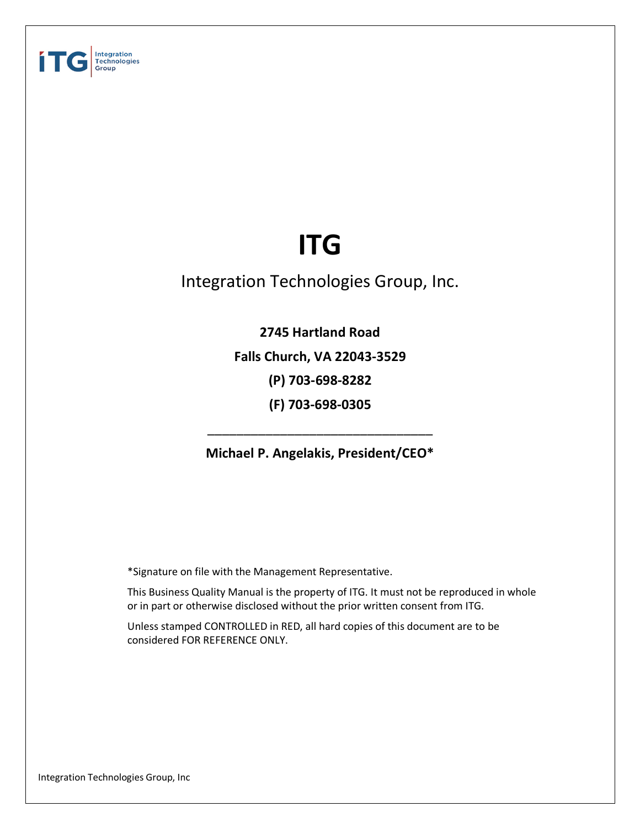

# **ITG**

# Integration Technologies Group, Inc.

**2745 Hartland Road Falls Church, VA 22043-3529 (P) 703-698-8282 (F) 703-698-0305**

**Michael P. Angelakis, President/CEO\***

\_\_\_\_\_\_\_\_\_\_\_\_\_\_\_\_\_\_\_\_\_\_\_\_\_\_\_\_\_\_\_

\*Signature on file with the Management Representative.

This Business Quality Manual is the property of ITG. It must not be reproduced in whole or in part or otherwise disclosed without the prior written consent from ITG.

Unless stamped CONTROLLED in RED, all hard copies of this document are to be considered FOR REFERENCE ONLY.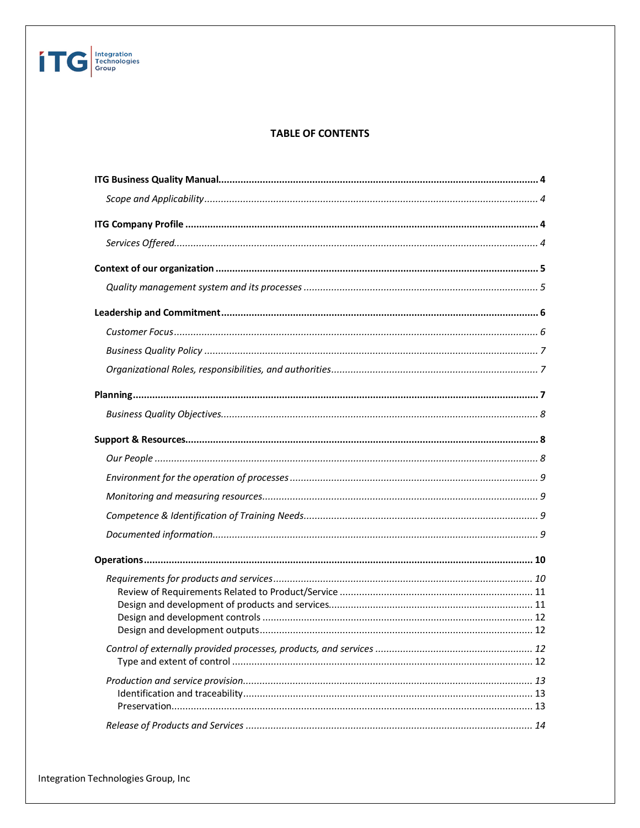### **TABLE OF CONTENTS**

**TEC** Integration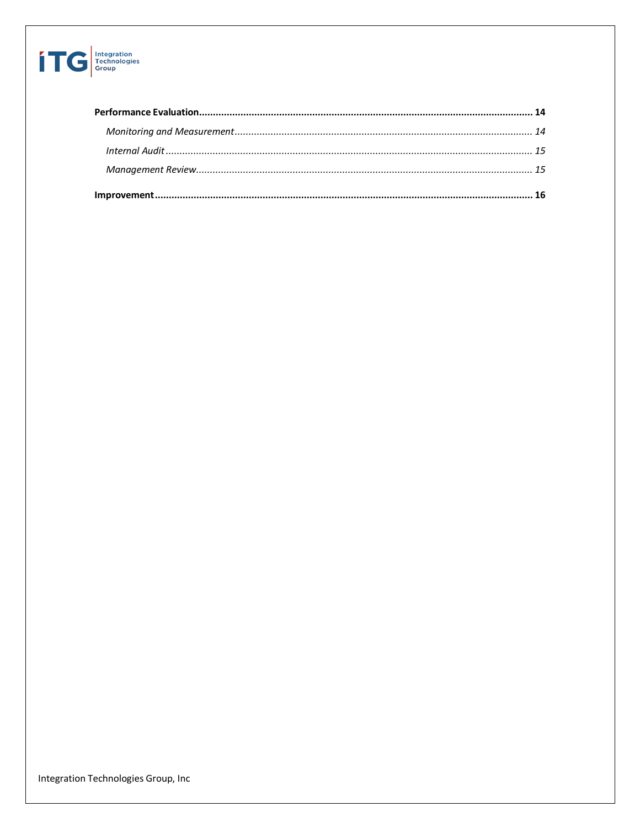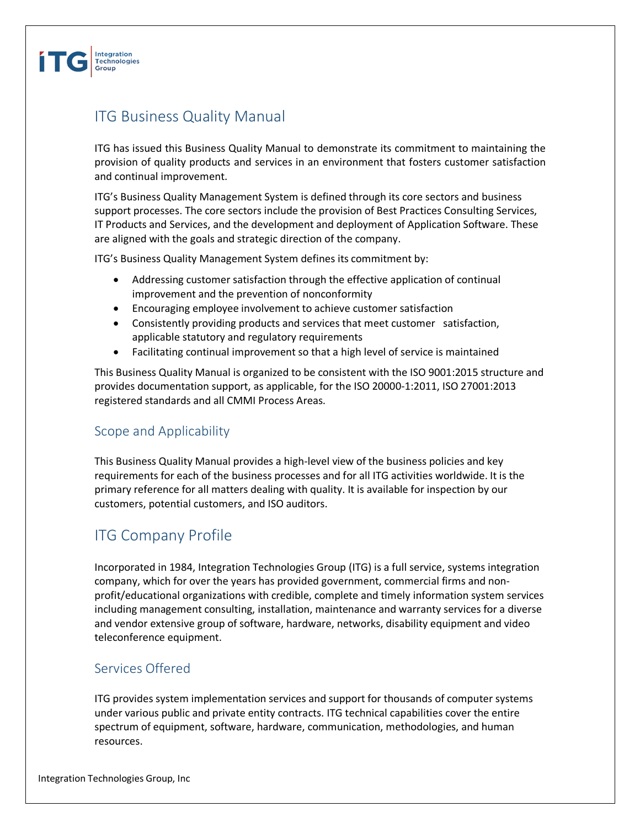

# ITG Business Quality Manual

ITG has issued this Business Quality Manual to demonstrate its commitment to maintaining the provision of quality products and services in an environment that fosters customer satisfaction and continual improvement.

ITG's Business Quality Management System is defined through its core sectors and business support processes. The core sectors include the provision of Best Practices Consulting Services, IT Products and Services, and the development and deployment of Application Software. These are aligned with the goals and strategic direction of the company.

ITG's Business Quality Management System defines its commitment by:

- Addressing customer satisfaction through the effective application of continual improvement and the prevention of nonconformity
- Encouraging employee involvement to achieve customer satisfaction
- Consistently providing products and services that meet customer satisfaction, applicable statutory and regulatory requirements
- Facilitating continual improvement so that a high level of service is maintained

This Business Quality Manual is organized to be consistent with the ISO 9001:2015 structure and provides documentation support, as applicable, for the ISO 20000-1:2011, ISO 27001:2013 registered standards and all CMMI Process Areas.

# Scope and Applicability

This Business Quality Manual provides a high-level view of the business policies and key requirements for each of the business processes and for all ITG activities worldwide. It is the primary reference for all matters dealing with quality. It is available for inspection by our customers, potential customers, and ISO auditors.

# ITG Company Profile

Incorporated in 1984, Integration Technologies Group (ITG) is a full service, systems integration company, which for over the years has provided government, commercial firms and nonprofit/educational organizations with credible, complete and timely information system services including management consulting, installation, maintenance and warranty services for a diverse and vendor extensive group of software, hardware, networks, disability equipment and video teleconference equipment.

# Services Offered

ITG provides system implementation services and support for thousands of computer systems under various public and private entity contracts. ITG technical capabilities cover the entire spectrum of equipment, software, hardware, communication, methodologies, and human resources.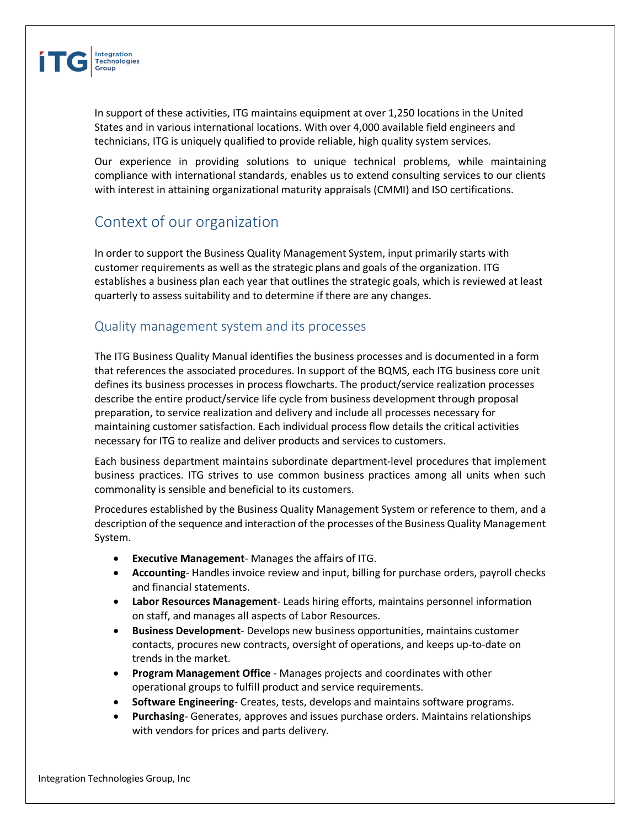

In support of these activities, ITG maintains equipment at over 1,250 locations in the United States and in various international locations. With over 4,000 available field engineers and technicians, ITG is uniquely qualified to provide reliable, high quality system services.

Our experience in providing solutions to unique technical problems, while maintaining compliance with international standards, enables us to extend consulting services to our clients with interest in attaining organizational maturity appraisals (CMMI) and ISO certifications.

# Context of our organization

In order to support the Business Quality Management System, input primarily starts with customer requirements as well as the strategic plans and goals of the organization. ITG establishes a business plan each year that outlines the strategic goals, which is reviewed at least quarterly to assess suitability and to determine if there are any changes.

### Quality management system and its processes

The ITG Business Quality Manual identifies the business processes and is documented in a form that references the associated procedures. In support of the BQMS, each ITG business core unit defines its business processes in process flowcharts. The product/service realization processes describe the entire product/service life cycle from business development through proposal preparation, to service realization and delivery and include all processes necessary for maintaining customer satisfaction. Each individual process flow details the critical activities necessary for ITG to realize and deliver products and services to customers.

Each business department maintains subordinate department-level procedures that implement business practices. ITG strives to use common business practices among all units when such commonality is sensible and beneficial to its customers.

Procedures established by the Business Quality Management System or reference to them, and a description of the sequence and interaction of the processes of the Business Quality Management System.

- **Executive Management** Manages the affairs of ITG.
- **Accounting** Handles invoice review and input, billing for purchase orders, payroll checks and financial statements.
- **Labor Resources Management** Leads hiring efforts, maintains personnel information on staff, and manages all aspects of Labor Resources.
- **Business Development** Develops new business opportunities, maintains customer contacts, procures new contracts, oversight of operations, and keeps up-to-date on trends in the market.
- **Program Management Office** Manages projects and coordinates with other operational groups to fulfill product and service requirements.
- **Software Engineering** Creates, tests, develops and maintains software programs.
- **Purchasing** Generates, approves and issues purchase orders. Maintains relationships with vendors for prices and parts delivery.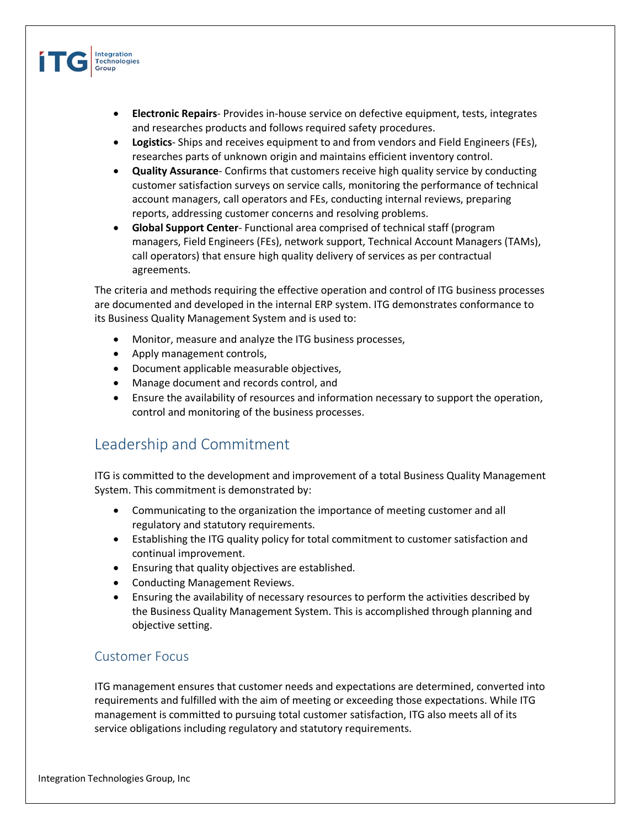

- **Electronic Repairs** Provides in-house service on defective equipment, tests, integrates and researches products and follows required safety procedures.
- **Logistics** Ships and receives equipment to and from vendors and Field Engineers (FEs), researches parts of unknown origin and maintains efficient inventory control.
- **Quality Assurance** Confirms that customers receive high quality service by conducting customer satisfaction surveys on service calls, monitoring the performance of technical account managers, call operators and FEs, conducting internal reviews, preparing reports, addressing customer concerns and resolving problems.
- **Global Support Center** Functional area comprised of technical staff (program managers, Field Engineers (FEs), network support, Technical Account Managers (TAMs), call operators) that ensure high quality delivery of services as per contractual agreements.

The criteria and methods requiring the effective operation and control of ITG business processes are documented and developed in the internal ERP system. ITG demonstrates conformance to its Business Quality Management System and is used to:

- Monitor, measure and analyze the ITG business processes,
- Apply management controls,
- Document applicable measurable objectives,
- Manage document and records control, and
- Ensure the availability of resources and information necessary to support the operation, control and monitoring of the business processes.

# Leadership and Commitment

ITG is committed to the development and improvement of a total Business Quality Management System. This commitment is demonstrated by:

- Communicating to the organization the importance of meeting customer and all regulatory and statutory requirements.
- Establishing the ITG quality policy for total commitment to customer satisfaction and continual improvement.
- Ensuring that quality objectives are established.
- Conducting Management Reviews.
- Ensuring the availability of necessary resources to perform the activities described by the Business Quality Management System. This is accomplished through planning and objective setting.

### Customer Focus

ITG management ensures that customer needs and expectations are determined, converted into requirements and fulfilled with the aim of meeting or exceeding those expectations. While ITG management is committed to pursuing total customer satisfaction, ITG also meets all of its service obligations including regulatory and statutory requirements.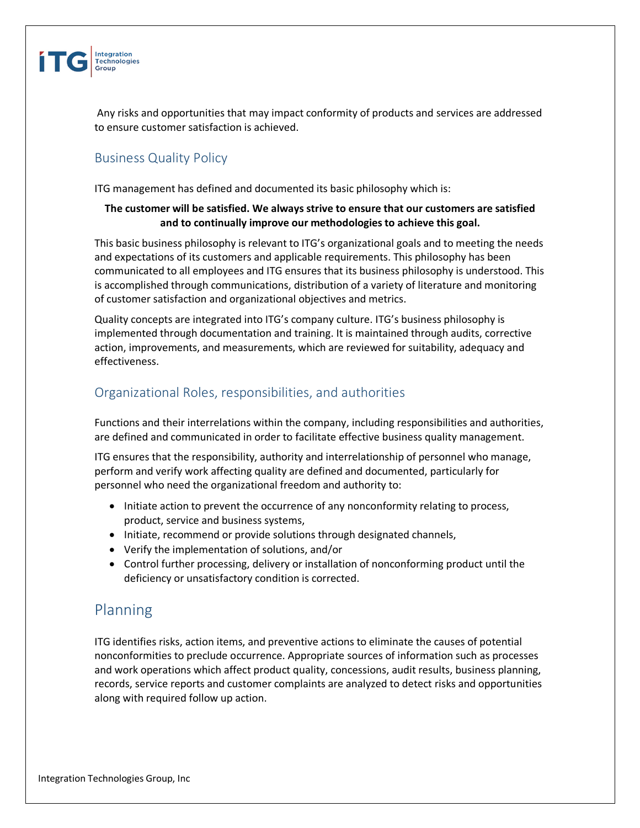

Any risks and opportunities that may impact conformity of products and services are addressed to ensure customer satisfaction is achieved.

# Business Quality Policy

ITG management has defined and documented its basic philosophy which is:

### **The customer will be satisfied. We always strive to ensure that our customers are satisfied and to continually improve our methodologies to achieve this goal.**

This basic business philosophy is relevant to ITG's organizational goals and to meeting the needs and expectations of its customers and applicable requirements. This philosophy has been communicated to all employees and ITG ensures that its business philosophy is understood. This is accomplished through communications, distribution of a variety of literature and monitoring of customer satisfaction and organizational objectives and metrics.

Quality concepts are integrated into ITG's company culture. ITG's business philosophy is implemented through documentation and training. It is maintained through audits, corrective action, improvements, and measurements, which are reviewed for suitability, adequacy and effectiveness.

# Organizational Roles, responsibilities, and authorities

Functions and their interrelations within the company, including responsibilities and authorities, are defined and communicated in order to facilitate effective business quality management.

ITG ensures that the responsibility, authority and interrelationship of personnel who manage, perform and verify work affecting quality are defined and documented, particularly for personnel who need the organizational freedom and authority to:

- Initiate action to prevent the occurrence of any nonconformity relating to process, product, service and business systems,
- Initiate, recommend or provide solutions through designated channels,
- Verify the implementation of solutions, and/or
- Control further processing, delivery or installation of nonconforming product until the deficiency or unsatisfactory condition is corrected.

# Planning

ITG identifies risks, action items, and preventive actions to eliminate the causes of potential nonconformities to preclude occurrence. Appropriate sources of information such as processes and work operations which affect product quality, concessions, audit results, business planning, records, service reports and customer complaints are analyzed to detect risks and opportunities along with required follow up action.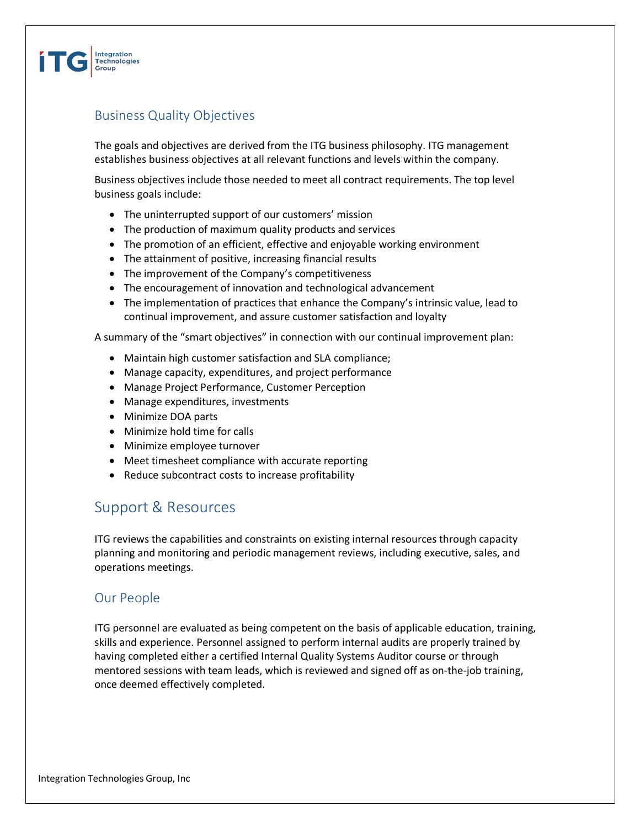

# Business Quality Objectives

The goals and objectives are derived from the ITG business philosophy. ITG management establishes business objectives at all relevant functions and levels within the company.

Business objectives include those needed to meet all contract requirements. The top level business goals include:

- The uninterrupted support of our customers' mission
- The production of maximum quality products and services
- The promotion of an efficient, effective and enjoyable working environment
- The attainment of positive, increasing financial results
- The improvement of the Company's competitiveness
- The encouragement of innovation and technological advancement
- The implementation of practices that enhance the Company's intrinsic value, lead to continual improvement, and assure customer satisfaction and loyalty

A summary of the "smart objectives" in connection with our continual improvement plan:

- Maintain high customer satisfaction and SLA compliance;
- Manage capacity, expenditures, and project performance
- Manage Project Performance, Customer Perception
- Manage expenditures, investments
- Minimize DOA parts
- Minimize hold time for calls
- Minimize employee turnover
- Meet timesheet compliance with accurate reporting
- Reduce subcontract costs to increase profitability

# Support & Resources

ITG reviews the capabilities and constraints on existing internal resources through capacity planning and monitoring and periodic management reviews, including executive, sales, and operations meetings.

### Our People

ITG personnel are evaluated as being competent on the basis of applicable education, training, skills and experience. Personnel assigned to perform internal audits are properly trained by having completed either a certified Internal Quality Systems Auditor course or through mentored sessions with team leads, which is reviewed and signed off as on-the-job training, once deemed effectively completed.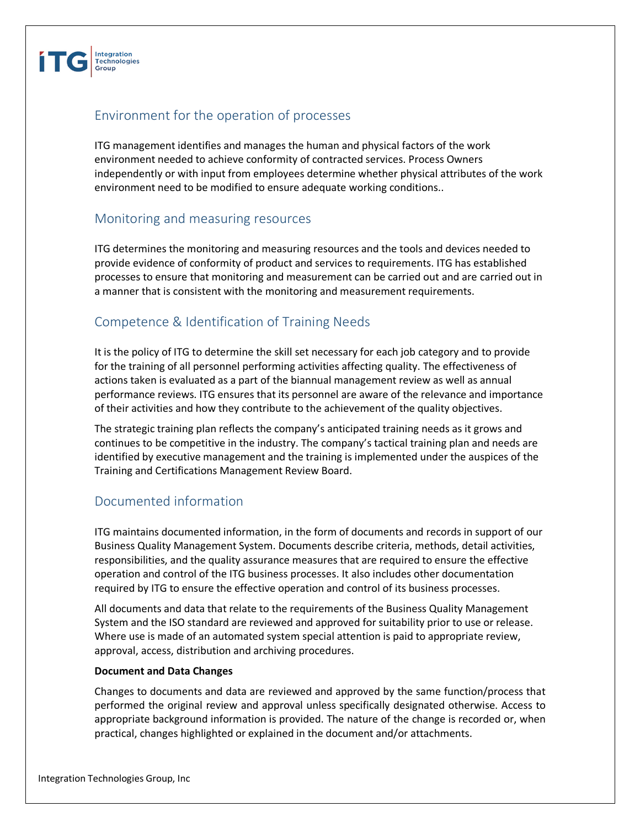

# Environment for the operation of processes

ITG management identifies and manages the human and physical factors of the work environment needed to achieve conformity of contracted services. Process Owners independently or with input from employees determine whether physical attributes of the work environment need to be modified to ensure adequate working conditions..

### Monitoring and measuring resources

ITG determines the monitoring and measuring resources and the tools and devices needed to provide evidence of conformity of product and services to requirements. ITG has established processes to ensure that monitoring and measurement can be carried out and are carried out in a manner that is consistent with the monitoring and measurement requirements.

# Competence & Identification of Training Needs

It is the policy of ITG to determine the skill set necessary for each job category and to provide for the training of all personnel performing activities affecting quality. The effectiveness of actions taken is evaluated as a part of the biannual management review as well as annual performance reviews. ITG ensures that its personnel are aware of the relevance and importance of their activities and how they contribute to the achievement of the quality objectives.

The strategic training plan reflects the company's anticipated training needs as it grows and continues to be competitive in the industry. The company's tactical training plan and needs are identified by executive management and the training is implemented under the auspices of the Training and Certifications Management Review Board.

# Documented information

ITG maintains documented information, in the form of documents and records in support of our Business Quality Management System. Documents describe criteria, methods, detail activities, responsibilities, and the quality assurance measures that are required to ensure the effective operation and control of the ITG business processes. It also includes other documentation required by ITG to ensure the effective operation and control of its business processes.

All documents and data that relate to the requirements of the Business Quality Management System and the ISO standard are reviewed and approved for suitability prior to use or release. Where use is made of an automated system special attention is paid to appropriate review, approval, access, distribution and archiving procedures.

#### **Document and Data Changes**

Changes to documents and data are reviewed and approved by the same function/process that performed the original review and approval unless specifically designated otherwise. Access to appropriate background information is provided. The nature of the change is recorded or, when practical, changes highlighted or explained in the document and/or attachments.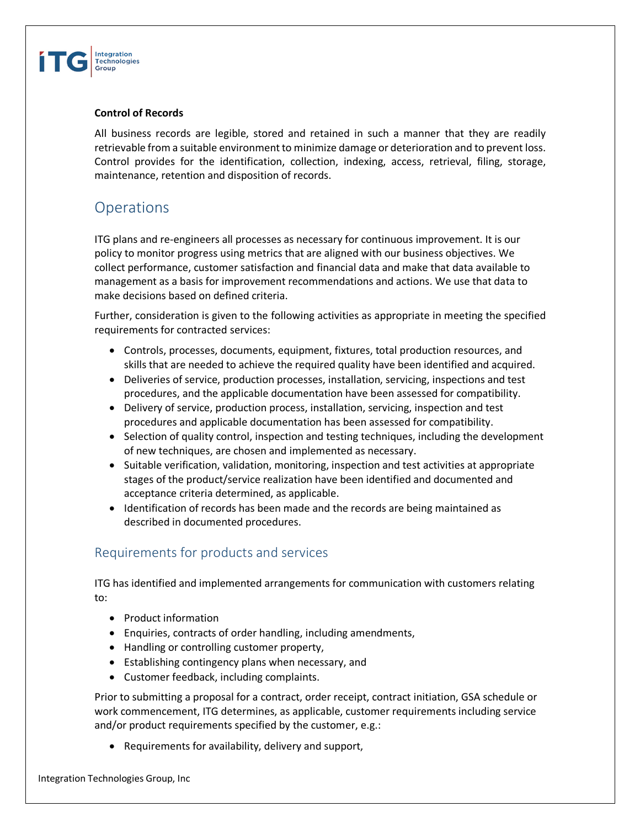

### **Control of Records**

All business records are legible, stored and retained in such a manner that they are readily retrievable from a suitable environment to minimize damage or deterioration and to prevent loss. Control provides for the identification, collection, indexing, access, retrieval, filing, storage, maintenance, retention and disposition of records.

# **Operations**

ITG plans and re-engineers all processes as necessary for continuous improvement. It is our policy to monitor progress using metrics that are aligned with our business objectives. We collect performance, customer satisfaction and financial data and make that data available to management as a basis for improvement recommendations and actions. We use that data to make decisions based on defined criteria.

Further, consideration is given to the following activities as appropriate in meeting the specified requirements for contracted services:

- Controls, processes, documents, equipment, fixtures, total production resources, and skills that are needed to achieve the required quality have been identified and acquired.
- Deliveries of service, production processes, installation, servicing, inspections and test procedures, and the applicable documentation have been assessed for compatibility.
- Delivery of service, production process, installation, servicing, inspection and test procedures and applicable documentation has been assessed for compatibility.
- Selection of quality control, inspection and testing techniques, including the development of new techniques, are chosen and implemented as necessary.
- Suitable verification, validation, monitoring, inspection and test activities at appropriate stages of the product/service realization have been identified and documented and acceptance criteria determined, as applicable.
- Identification of records has been made and the records are being maintained as described in documented procedures.

# Requirements for products and services

ITG has identified and implemented arrangements for communication with customers relating to:

- Product information
- Enquiries, contracts of order handling, including amendments,
- Handling or controlling customer property,
- Establishing contingency plans when necessary, and
- Customer feedback, including complaints.

Prior to submitting a proposal for a contract, order receipt, contract initiation, GSA schedule or work commencement, ITG determines, as applicable, customer requirements including service and/or product requirements specified by the customer, e.g.:

• Requirements for availability, delivery and support,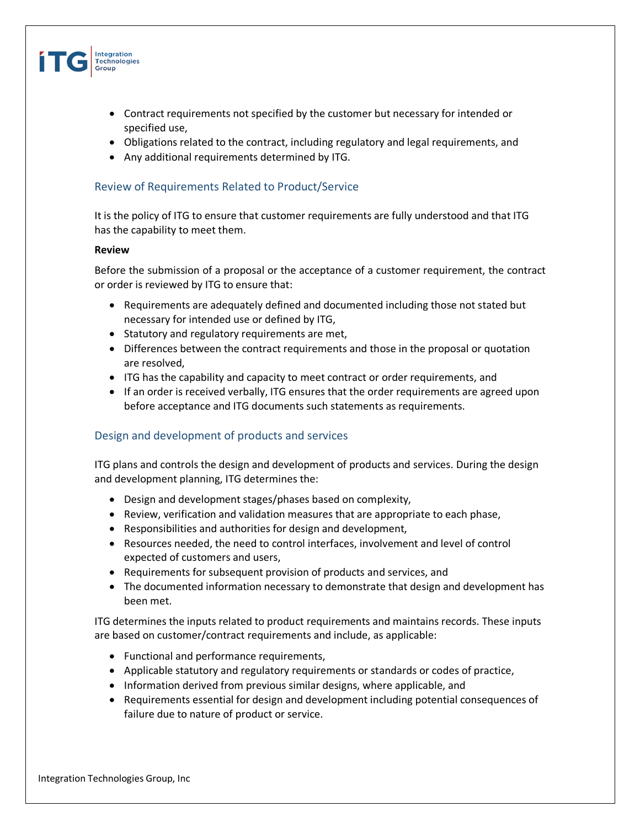

- Contract requirements not specified by the customer but necessary for intended or specified use,
- Obligations related to the contract, including regulatory and legal requirements, and
- Any additional requirements determined by ITG.

### Review of Requirements Related to Product/Service

It is the policy of ITG to ensure that customer requirements are fully understood and that ITG has the capability to meet them.

#### **Review**

Before the submission of a proposal or the acceptance of a customer requirement, the contract or order is reviewed by ITG to ensure that:

- Requirements are adequately defined and documented including those not stated but necessary for intended use or defined by ITG,
- Statutory and regulatory requirements are met,
- Differences between the contract requirements and those in the proposal or quotation are resolved,
- ITG has the capability and capacity to meet contract or order requirements, and
- If an order is received verbally, ITG ensures that the order requirements are agreed upon before acceptance and ITG documents such statements as requirements.

### Design and development of products and services

ITG plans and controls the design and development of products and services. During the design and development planning, ITG determines the:

- Design and development stages/phases based on complexity,
- Review, verification and validation measures that are appropriate to each phase,
- Responsibilities and authorities for design and development,
- Resources needed, the need to control interfaces, involvement and level of control expected of customers and users,
- Requirements for subsequent provision of products and services, and
- The documented information necessary to demonstrate that design and development has been met.

ITG determines the inputs related to product requirements and maintains records. These inputs are based on customer/contract requirements and include, as applicable:

- Functional and performance requirements,
- Applicable statutory and regulatory requirements or standards or codes of practice,
- Information derived from previous similar designs, where applicable, and
- Requirements essential for design and development including potential consequences of failure due to nature of product or service.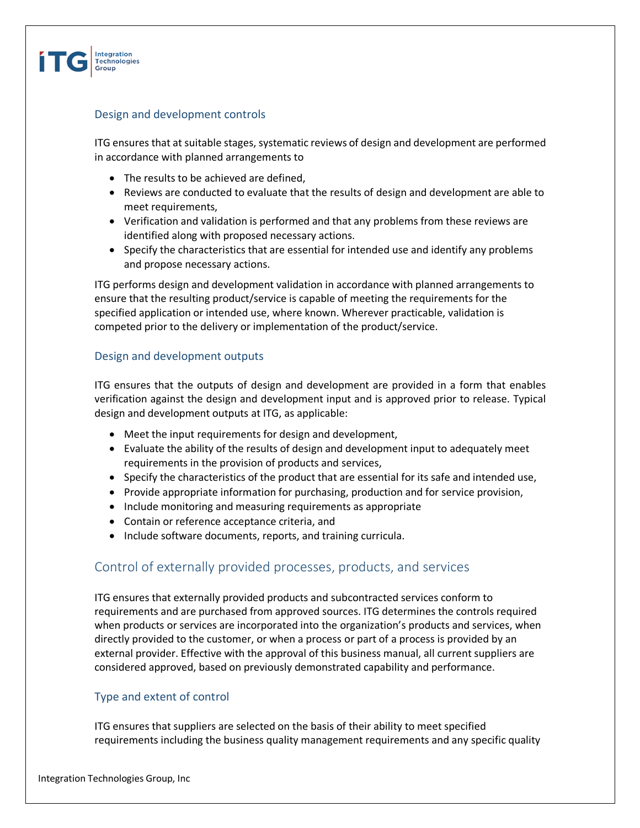

### Design and development controls

ITG ensures that at suitable stages, systematic reviews of design and development are performed in accordance with planned arrangements to

- The results to be achieved are defined,
- Reviews are conducted to evaluate that the results of design and development are able to meet requirements,
- Verification and validation is performed and that any problems from these reviews are identified along with proposed necessary actions.
- Specify the characteristics that are essential for intended use and identify any problems and propose necessary actions.

ITG performs design and development validation in accordance with planned arrangements to ensure that the resulting product/service is capable of meeting the requirements for the specified application or intended use, where known. Wherever practicable, validation is competed prior to the delivery or implementation of the product/service.

### Design and development outputs

ITG ensures that the outputs of design and development are provided in a form that enables verification against the design and development input and is approved prior to release. Typical design and development outputs at ITG, as applicable:

- Meet the input requirements for design and development,
- Evaluate the ability of the results of design and development input to adequately meet requirements in the provision of products and services,
- Specify the characteristics of the product that are essential for its safe and intended use,
- Provide appropriate information for purchasing, production and for service provision,
- Include monitoring and measuring requirements as appropriate
- Contain or reference acceptance criteria, and
- Include software documents, reports, and training curricula.

# Control of externally provided processes, products, and services

ITG ensures that externally provided products and subcontracted services conform to requirements and are purchased from approved sources. ITG determines the controls required when products or services are incorporated into the organization's products and services, when directly provided to the customer, or when a process or part of a process is provided by an external provider. Effective with the approval of this business manual, all current suppliers are considered approved, based on previously demonstrated capability and performance.

### Type and extent of control

ITG ensures that suppliers are selected on the basis of their ability to meet specified requirements including the business quality management requirements and any specific quality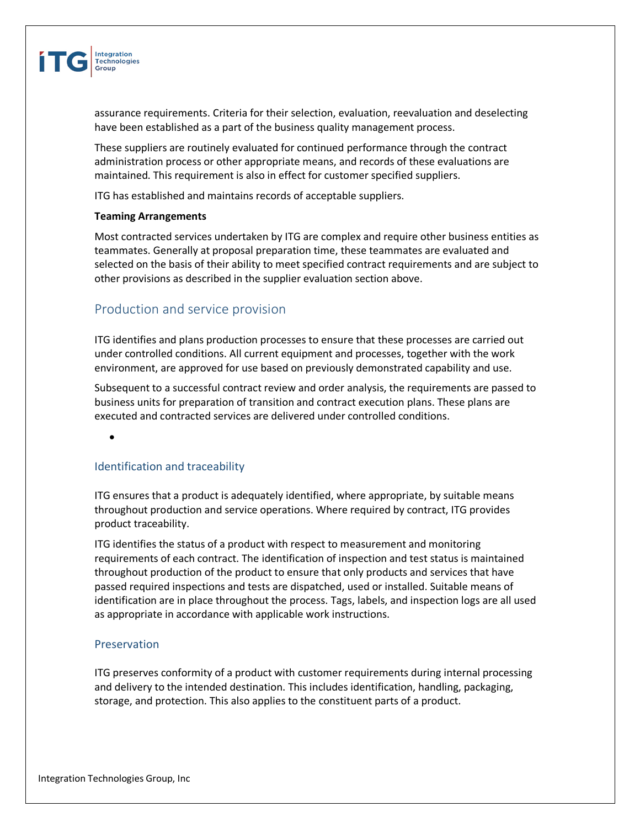

assurance requirements. Criteria for their selection, evaluation, reevaluation and deselecting have been established as a part of the business quality management process.

These suppliers are routinely evaluated for continued performance through the contract administration process or other appropriate means, and records of these evaluations are maintained. This requirement is also in effect for customer specified suppliers.

ITG has established and maintains records of acceptable suppliers.

#### **Teaming Arrangements**

Most contracted services undertaken by ITG are complex and require other business entities as teammates. Generally at proposal preparation time, these teammates are evaluated and selected on the basis of their ability to meet specified contract requirements and are subject to other provisions as described in the supplier evaluation section above.

### Production and service provision

ITG identifies and plans production processes to ensure that these processes are carried out under controlled conditions. All current equipment and processes, together with the work environment, are approved for use based on previously demonstrated capability and use.

Subsequent to a successful contract review and order analysis, the requirements are passed to business units for preparation of transition and contract execution plans. These plans are executed and contracted services are delivered under controlled conditions.

•

### Identification and traceability

ITG ensures that a product is adequately identified, where appropriate, by suitable means throughout production and service operations. Where required by contract, ITG provides product traceability.

ITG identifies the status of a product with respect to measurement and monitoring requirements of each contract. The identification of inspection and test status is maintained throughout production of the product to ensure that only products and services that have passed required inspections and tests are dispatched, used or installed. Suitable means of identification are in place throughout the process. Tags, labels, and inspection logs are all used as appropriate in accordance with applicable work instructions.

#### Preservation

ITG preserves conformity of a product with customer requirements during internal processing and delivery to the intended destination. This includes identification, handling, packaging, storage, and protection. This also applies to the constituent parts of a product.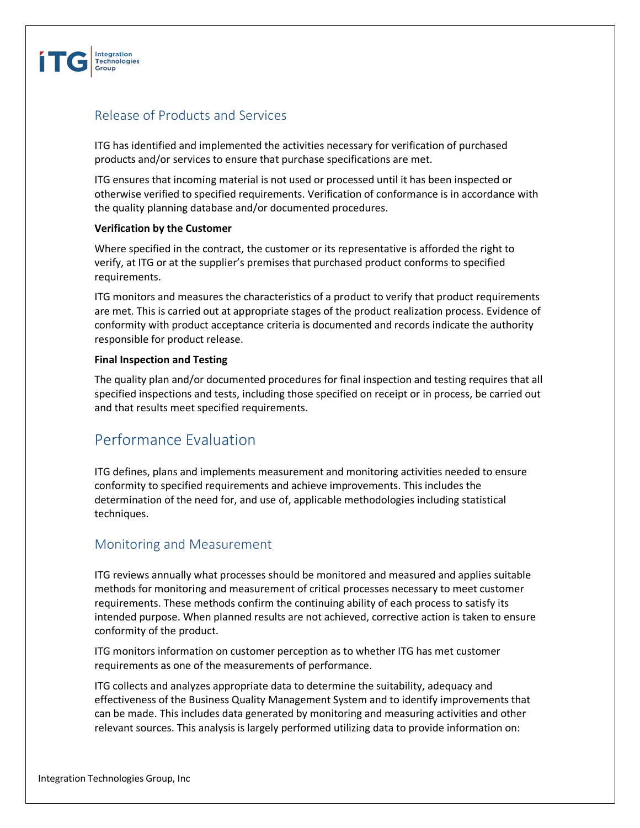

# Release of Products and Services

ITG has identified and implemented the activities necessary for verification of purchased products and/or services to ensure that purchase specifications are met.

ITG ensures that incoming material is not used or processed until it has been inspected or otherwise verified to specified requirements. Verification of conformance is in accordance with the quality planning database and/or documented procedures.

### **Verification by the Customer**

Where specified in the contract, the customer or its representative is afforded the right to verify, at ITG or at the supplier's premises that purchased product conforms to specified requirements.

ITG monitors and measures the characteristics of a product to verify that product requirements are met. This is carried out at appropriate stages of the product realization process. Evidence of conformity with product acceptance criteria is documented and records indicate the authority responsible for product release.

### **Final Inspection and Testing**

The quality plan and/or documented procedures for final inspection and testing requires that all specified inspections and tests, including those specified on receipt or in process, be carried out and that results meet specified requirements.

# Performance Evaluation

ITG defines, plans and implements measurement and monitoring activities needed to ensure conformity to specified requirements and achieve improvements. This includes the determination of the need for, and use of, applicable methodologies including statistical techniques.

### Monitoring and Measurement

ITG reviews annually what processes should be monitored and measured and applies suitable methods for monitoring and measurement of critical processes necessary to meet customer requirements. These methods confirm the continuing ability of each process to satisfy its intended purpose. When planned results are not achieved, corrective action is taken to ensure conformity of the product.

ITG monitors information on customer perception as to whether ITG has met customer requirements as one of the measurements of performance.

ITG collects and analyzes appropriate data to determine the suitability, adequacy and effectiveness of the Business Quality Management System and to identify improvements that can be made. This includes data generated by monitoring and measuring activities and other relevant sources. This analysis is largely performed utilizing data to provide information on: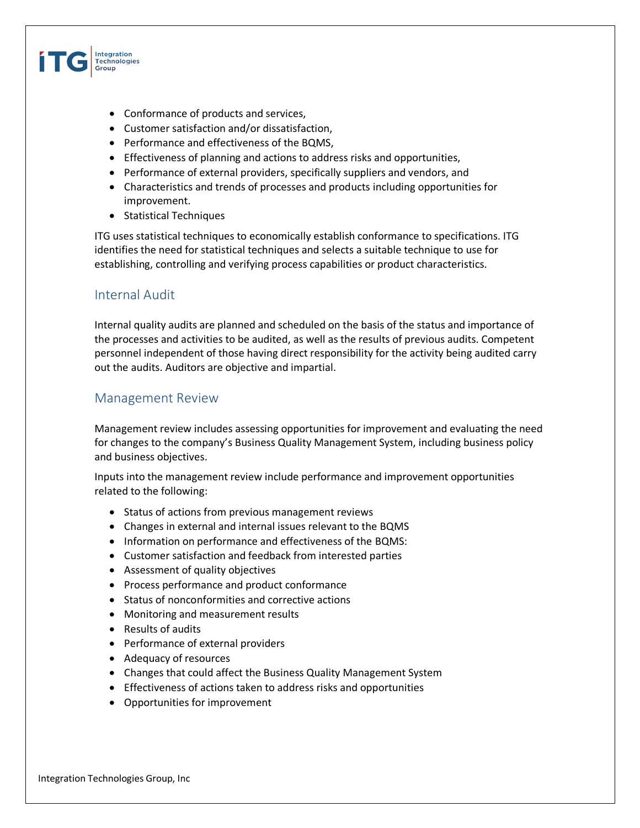

- Conformance of products and services,
- Customer satisfaction and/or dissatisfaction,
- Performance and effectiveness of the BQMS,
- Effectiveness of planning and actions to address risks and opportunities,
- Performance of external providers, specifically suppliers and vendors, and
- Characteristics and trends of processes and products including opportunities for improvement.
- Statistical Techniques

ITG uses statistical techniques to economically establish conformance to specifications. ITG identifies the need for statistical techniques and selects a suitable technique to use for establishing, controlling and verifying process capabilities or product characteristics.

### Internal Audit

Internal quality audits are planned and scheduled on the basis of the status and importance of the processes and activities to be audited, as well as the results of previous audits. Competent personnel independent of those having direct responsibility for the activity being audited carry out the audits. Auditors are objective and impartial.

### Management Review

Management review includes assessing opportunities for improvement and evaluating the need for changes to the company's Business Quality Management System, including business policy and business objectives.

Inputs into the management review include performance and improvement opportunities related to the following:

- Status of actions from previous management reviews
- Changes in external and internal issues relevant to the BQMS
- Information on performance and effectiveness of the BQMS:
- Customer satisfaction and feedback from interested parties
- Assessment of quality objectives
- Process performance and product conformance
- Status of nonconformities and corrective actions
- Monitoring and measurement results
- Results of audits
- Performance of external providers
- Adequacy of resources
- Changes that could affect the Business Quality Management System
- Effectiveness of actions taken to address risks and opportunities
- Opportunities for improvement